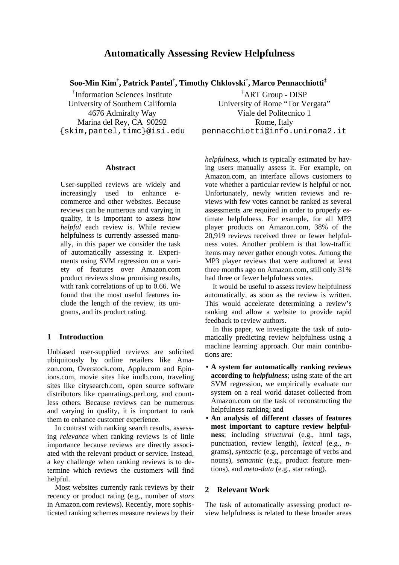# **Automatically Assessing Review Helpfulness**

**Soo-Min Kim† , Patrick Pantel† , Timothy Chklovski† , Marco Pennacchiotti‡**

† Information Sciences Institute University of Southern California 4676 Admiralty Way Marina del Rey, CA 90292 {skim,pantel,timc}@isi.edu

### **Abstract**

User-supplied reviews are widely and increasingly used to enhance ecommerce and other websites. Because reviews can be numerous and varying in quality, it is important to assess how *helpful* each review is. While review helpfulness is currently assessed manually, in this paper we consider the task of automatically assessing it. Experiments using SVM regression on a variety of features over Amazon.com product reviews show promising results, with rank correlations of up to 0.66. We found that the most useful features include the length of the review, its unigrams, and its product rating.

# **1 Introduction**

Unbiased user-supplied reviews are solicited ubiquitously by online retailers like Amazon.com, Overstock.com, Apple.com and Epinions.com, movie sites like imdb.com, traveling sites like citysearch.com, open source software distributors like cpanratings.perl.org, and countless others. Because reviews can be numerous and varying in quality, it is important to rank them to enhance customer experience.

In contrast with ranking search results, assessing *relevance* when ranking reviews is of little importance because reviews are directly associated with the relevant product or service. Instead, a key challenge when ranking reviews is to determine which reviews the customers will find helpful.

Most websites currently rank reviews by their recency or product rating (e.g., number of *stars* in Amazon.com reviews). Recently, more sophisticated ranking schemes measure reviews by their

‡ ART Group - DISP University of Rome "Tor Vergata" Viale del Politecnico 1 Rome, Italy pennacchiotti@info.uniroma2.it

*helpfulness*, which is typically estimated by having users manually assess it. For example, on Amazon.com, an interface allows customers to vote whether a particular review is helpful or not. Unfortunately, newly written reviews and reviews with few votes cannot be ranked as several assessments are required in order to properly estimate helpfulness. For example, for all MP3 player products on Amazon.com, 38% of the 20,919 reviews received three or fewer helpfulness votes. Another problem is that low-traffic items may never gather enough votes. Among the MP3 player reviews that were authored at least three months ago on Amazon.com, still only 31% had three or fewer helpfulness votes.

It would be useful to assess review helpfulness automatically, as soon as the review is written. This would accelerate determining a review's ranking and allow a website to provide rapid feedback to review authors.

In this paper, we investigate the task of automatically predicting review helpfulness using a machine learning approach. Our main contributions are:

- **A system for automatically ranking reviews according to** *helpfulness*; using state of the art SVM regression, we empirically evaluate our system on a real world dataset collected from Amazon.com on the task of reconstructing the helpfulness ranking; and
- **An analysis of different classes of features most important to capture review helpfulness**; including *structural* (e.g., html tags, punctuation, review length), *lexical* (e.g., *n*grams), *syntactic* (e.g., percentage of verbs and nouns), *semantic* (e.g., product feature mentions), and *meta-data* (e.g., star rating).

## **2 Relevant Work**

The task of automatically assessing product review helpfulness is related to these broader areas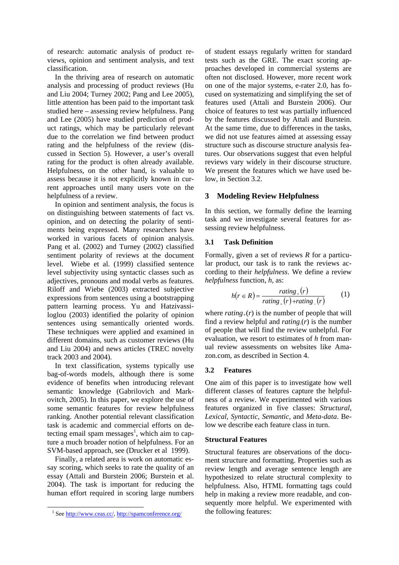of research: automatic analysis of product reviews, opinion and sentiment analysis, and text classification.

In the thriving area of research on automatic analysis and processing of product reviews (Hu and Liu 2004; Turney 2002; Pang and Lee 2005), little attention has been paid to the important task studied here – assessing review helpfulness. Pang and Lee (2005) have studied prediction of product ratings, which may be particularly relevant due to the correlation we find between product rating and the helpfulness of the review (discussed in Section 5). However, a user's overall rating for the product is often already available. Helpfulness, on the other hand, is valuable to assess because it is not explicitly known in current approaches until many users vote on the helpfulness of a review.

In opinion and sentiment analysis, the focus is on distinguishing between statements of fact vs. opinion, and on detecting the polarity of sentiments being expressed. Many researchers have worked in various facets of opinion analysis. Pang et al. (2002) and Turney (2002) classified sentiment polarity of reviews at the document level. Wiebe et al. (1999) classified sentence level subjectivity using syntactic classes such as adjectives, pronouns and modal verbs as features. Riloff and Wiebe (2003) extracted subjective expressions from sentences using a bootstrapping pattern learning process. Yu and Hatzivassiloglou (2003) identified the polarity of opinion sentences using semantically oriented words. These techniques were applied and examined in different domains, such as customer reviews (Hu and Liu 2004) and news articles (TREC novelty track 2003 and 2004).

In text classification, systems typically use bag-of-words models, although there is some evidence of benefits when introducing relevant semantic knowledge (Gabrilovich and Markovitch, 2005). In this paper, we explore the use of some semantic features for review helpfulness ranking. Another potential relevant classification task is academic and commercial efforts on detecting email spam messages<sup>1</sup>, which aim to capture a much broader notion of helpfulness. For an SVM-based approach, see (Drucker et al 1999).

Finally, a related area is work on automatic essay scoring, which seeks to rate the quality of an essay (Attali and Burstein 2006; Burstein et al. 2004). The task is important for reducing the human effort required in scoring large numbers

of student essays regularly written for standard tests such as the GRE. The exact scoring approaches developed in commercial systems are often not disclosed. However, more recent work on one of the major systems, e-rater 2.0, has focused on systematizing and simplifying the set of features used (Attali and Burstein 2006). Our choice of features to test was partially influenced by the features discussed by Attali and Burstein. At the same time, due to differences in the tasks, we did not use features aimed at assessing essay structure such as discourse structure analysis features. Our observations suggest that even helpful reviews vary widely in their discourse structure. We present the features which we have used below, in Section 3.2.

# **3 Modeling Review Helpfulness**

In this section, we formally define the learning task and we investigate several features for assessing review helpfulness.

# **3.1 Task Definition**

Formally, given a set of reviews *R* for a particular product, our task is to rank the reviews according to their *helpfulness*. We define a review *helpfulness* function, *h*, as:

$$
h(r \in R) = \frac{rating_{+}(r)}{rating_{+}(r) + rating_{-}(r)} \tag{1}
$$

where  $rating_{+}(r)$  is the number of people that will find a review helpful and *rating-*(*r*) is the number of people that will find the review unhelpful. For evaluation, we resort to estimates of *h* from manual review assessments on websites like Amazon.com, as described in Section 4.

# **3.2 Features**

One aim of this paper is to investigate how well different classes of features capture the helpfulness of a review. We experimented with various features organized in five classes: *Structural*, *Lexical*, *Syntactic*, *Semantic*, and *Meta-data*. Below we describe each feature class in turn.

### **Structural Features**

Structural features are observations of the document structure and formatting. Properties such as review length and average sentence length are hypothesized to relate structural complexity to helpfulness. Also, HTML formatting tags could help in making a review more readable, and consequently more helpful. We experimented with the following features:

<sup>&</sup>lt;sup>1</sup> See http://www.ceas.cc/, http://spamconference.org/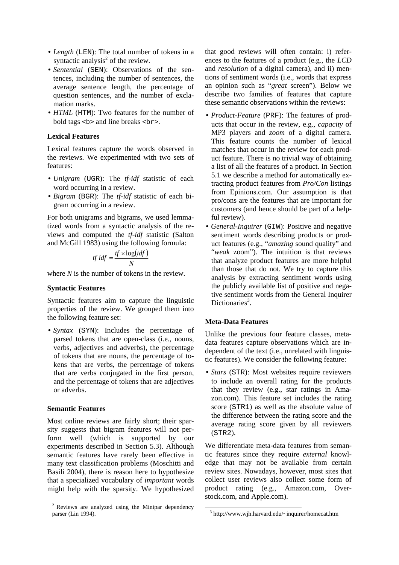- *Length* (LEN): The total number of tokens in a syntactic analysis<sup>2</sup> of the review.
- *Sentential* (SEN): Observations of the sentences, including the number of sentences, the average sentence length, the percentage of question sentences, and the number of exclamation marks.
- *HTML* (HTM): Two features for the number of bold tags  **and line breaks**  $**5**$ **.**

# **Lexical Features**

Lexical features capture the words observed in the reviews. We experimented with two sets of features:

- *Unigram* (UGR): The *tf-idf* statistic of each word occurring in a review.
- *Bigram* (BGR): The *tf-idf* statistic of each bigram occurring in a review.

For both unigrams and bigrams, we used lemmatized words from a syntactic analysis of the reviews and computed the *tf-idf* statistic (Salton and McGill 1983) using the following formula:

$$
tf\, idf = \frac{tf \times \log(idf)}{N}
$$

where *N* is the number of tokens in the review.

#### **Syntactic Features**

Syntactic features aim to capture the linguistic properties of the review. We grouped them into the following feature set:

• *Syntax* (SYN): Includes the percentage of parsed tokens that are open-class (i.e., nouns, verbs, adjectives and adverbs), the percentage of tokens that are nouns, the percentage of tokens that are verbs, the percentage of tokens that are verbs conjugated in the first person, and the percentage of tokens that are adjectives or adverbs.

#### **Semantic Features**

Most online reviews are fairly short; their sparsity suggests that bigram features will not perform well (which is supported by our experiments described in Section 5.3). Although semantic features have rarely been effective in many text classification problems (Moschitti and Basili 2004), there is reason here to hypothesize that a specialized vocabulary of *important* words might help with the sparsity. We hypothesized that good reviews will often contain: i) references to the features of a product (e.g., the *LCD* and *resolution* of a digital camera), and ii) mentions of sentiment words (i.e., words that express an opinion such as "*great* screen"). Below we describe two families of features that capture these semantic observations within the reviews:

- *Product-Feature* (PRF): The features of products that occur in the review, e.g., *capacity* of MP3 players and *zoom* of a digital camera. This feature counts the number of lexical matches that occur in the review for each product feature. There is no trivial way of obtaining a list of all the features of a product. In Section 5.1 we describe a method for automatically extracting product features from *Pro/Con* listings from Epinions.com. Our assumption is that pro/cons are the features that are important for customers (and hence should be part of a helpful review).
- *General-Inquirer* (GIW): Positive and negative sentiment words describing products or product features (e.g., "*amazing* sound quality" and "*weak* zoom"). The intuition is that reviews that analyze product features are more helpful than those that do not. We try to capture this analysis by extracting sentiment words using the publicly available list of positive and negative sentiment words from the General Inquirer Dictionaries<sup>3</sup>.

# **Meta-Data Features**

Unlike the previous four feature classes, metadata features capture observations which are independent of the text (i.e., unrelated with linguistic features). We consider the following feature:

• *Stars* (STR): Most websites require reviewers to include an overall rating for the products that they review (e.g., star ratings in Amazon.com). This feature set includes the rating score (STR1) as well as the absolute value of the difference between the rating score and the average rating score given by all reviewers (STR2).

We differentiate meta-data features from semantic features since they require *external* knowledge that may not be available from certain review sites. Nowadays, however, most sites that collect user reviews also collect some form of product rating (e.g., Amazon.com, Overstock.com, and Apple.com).

 <sup>2</sup> Reviews are analyzed using the Minipar dependency parser (Lin 1994).

 <sup>3</sup> http://www.wjh.harvard.edu/~inquirer/homecat.htm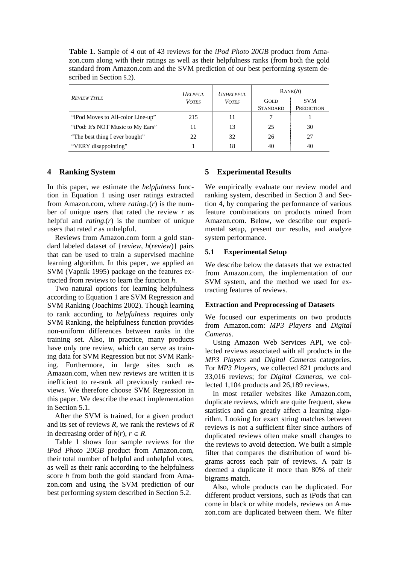**Table 1.** Sample of 4 out of 43 reviews for the *iPod Photo 20GB* product from Amazon.com along with their ratings as well as their helpfulness ranks (from both the gold standard from Amazon.com and the SVM prediction of our best performing system described in Section 5.2).

| <b>REVIEW TITLE</b>               | <b>HELPFUL</b><br><b>VOTES</b> | <b>UNHELPFUL</b><br><b>VOTES</b> | RANK(h)         |            |
|-----------------------------------|--------------------------------|----------------------------------|-----------------|------------|
|                                   |                                |                                  | GOLD            | <b>SVM</b> |
|                                   |                                |                                  | <b>STANDARD</b> | PREDICTION |
| "iPod Moves to All-color Line-up" | 215                            | 11                               |                 |            |
| "iPod: It's NOT Music to My Ears" | 11                             | 13                               | 25              | 30         |
| "The best thing I ever bought"    | 22                             | 32                               | 26              | 27         |
| "VERY disappointing"              |                                | 18                               | 40              | 40         |

# **4 Ranking System**

In this paper, we estimate the *helpfulness* function in Equation 1 using user ratings extracted from Amazon.com, where  $rating_{+}(r)$  is the number of unique users that rated the review *r* as helpful and *rating-*(*r*) is the number of unique users that rated *r* as unhelpful.

Reviews from Amazon.com form a gold standard labeled dataset of {*review*, *h*(*review*)} pairs that can be used to train a supervised machine learning algorithm. In this paper, we applied an SVM (Vapnik 1995) package on the features extracted from reviews to learn the function *h*.

Two natural options for learning helpfulness according to Equation 1 are SVM Regression and SVM Ranking (Joachims 2002). Though learning to rank according to *helpfulness* requires only SVM Ranking, the helpfulness function provides non-uniform differences between ranks in the training set. Also, in practice, many products have only one review, which can serve as training data for SVM Regression but not SVM Ranking. Furthermore, in large sites such as Amazon.com, when new reviews are written it is inefficient to re-rank all previously ranked reviews. We therefore choose SVM Regression in this paper. We describe the exact implementation in Section 5.1.

After the SVM is trained, for a given product and its set of reviews *R*, we rank the reviews of *R* in decreasing order of  $h(r)$ ,  $r \in R$ .

Table 1 shows four sample reviews for the *iPod Photo 20GB* product from Amazon.com, their total number of helpful and unhelpful votes, as well as their rank according to the helpfulness score *h* from both the gold standard from Amazon.com and using the SVM prediction of our best performing system described in Section 5.2.

# **5 Experimental Results**

We empirically evaluate our review model and ranking system, described in Section 3 and Section 4, by comparing the performance of various feature combinations on products mined from Amazon.com. Below, we describe our experimental setup, present our results, and analyze system performance.

### **5.1 Experimental Setup**

We describe below the datasets that we extracted from Amazon.com, the implementation of our SVM system, and the method we used for extracting features of reviews.

#### **Extraction and Preprocessing of Datasets**

We focused our experiments on two products from Amazon.com: *MP3 Players* and *Digital Cameras*.

Using Amazon Web Services API, we collected reviews associated with all products in the *MP3 Players* and *Digital Cameras* categories. For *MP3 Players*, we collected 821 products and 33,016 reviews; for *Digital Cameras*, we collected 1,104 products and 26,189 reviews.

In most retailer websites like Amazon.com, duplicate reviews, which are quite frequent, skew statistics and can greatly affect a learning algorithm. Looking for exact string matches between reviews is not a sufficient filter since authors of duplicated reviews often make small changes to the reviews to avoid detection. We built a simple filter that compares the distribution of word bigrams across each pair of reviews. A pair is deemed a duplicate if more than 80% of their bigrams match.

Also, whole products can be duplicated. For different product versions, such as iPods that can come in black or white models, reviews on Amazon.com are duplicated between them. We filter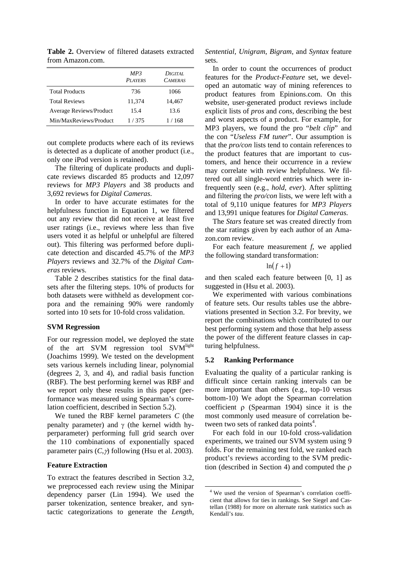|                                | MP3<br><b>PLAYERS</b> | DIGITAL.<br><b>CAMERAS</b> |
|--------------------------------|-----------------------|----------------------------|
| <b>Total Products</b>          | 736                   | 1066                       |
| <b>Total Reviews</b>           | 11,374                | 14,467                     |
| <b>Average Reviews/Product</b> | 15.4                  | 13.6                       |
| Min/MaxReviews/Product         | 1/375                 | 1 / 168                    |

**Table 2.** Overview of filtered datasets extracted from Amazon.com.

out complete products where each of its reviews is detected as a duplicate of another product (i.e., only one iPod version is retained).

The filtering of duplicate products and duplicate reviews discarded 85 products and 12,097 reviews for *MP3 Players* and 38 products and 3,692 reviews for *Digital Cameras*.

In order to have accurate estimates for the helpfulness function in Equation 1, we filtered out any review that did not receive at least five user ratings (i.e., reviews where less than five users voted it as helpful or unhelpful are filtered out). This filtering was performed before duplicate detection and discarded 45.7% of the *MP3 Players* reviews and 32.7% of the *Digital Cameras* reviews.

Table 2 describes statistics for the final datasets after the filtering steps. 10% of products for both datasets were withheld as development corpora and the remaining 90% were randomly sorted into 10 sets for 10-fold cross validation.

### **SVM Regression**

For our regression model, we deployed the state of the art SVM regression tool SVM<sup>light</sup> (Joachims 1999). We tested on the development sets various kernels including linear, polynomial (degrees 2, 3, and 4), and radial basis function (RBF). The best performing kernel was RBF and we report only these results in this paper (performance was measured using Spearman's correlation coefficient, described in Section 5.2).

We tuned the RBF kernel parameters *C* (the penalty parameter) and  $γ$  (the kernel width hyperparameter) performing full grid search over the 110 combinations of exponentially spaced parameter pairs  $(C, \gamma)$  following (Hsu et al. 2003).

# **Feature Extraction**

To extract the features described in Section 3.2, we preprocessed each review using the Minipar dependency parser (Lin 1994). We used the parser tokenization, sentence breaker, and syntactic categorizations to generate the *Length*, *Sentential*, *Unigram*, *Bigram*, and *Syntax* feature sets.

In order to count the occurrences of product features for the *Product-Feature* set, we developed an automatic way of mining references to product features from Epinions.com. On this website, user-generated product reviews include explicit lists of *pros* and *cons*, describing the best and worst aspects of a product. For example, for MP3 players, we found the pro "*belt clip*" and the con "*Useless FM tuner*". Our assumption is that the *pro/con* lists tend to contain references to the product features that are important to customers, and hence their occurrence in a review may correlate with review helpfulness. We filtered out all single-word entries which were infrequently seen (e.g., *hold*, *ever*). After splitting and filtering the *pro/con* lists, we were left with a total of 9,110 unique features for *MP3 Players* and 13,991 unique features for *Digital Cameras.* 

The *Stars* feature set was created directly from the star ratings given by each author of an Amazon.com review.

For each feature measurement *f*, we applied the following standard transformation:

 $ln(f+1)$ 

and then scaled each feature between [0, 1] as suggested in (Hsu et al. 2003).

We experimented with various combinations of feature sets. Our results tables use the abbreviations presented in Section 3.2. For brevity, we report the combinations which contributed to our best performing system and those that help assess the power of the different feature classes in capturing helpfulness.

#### **5.2 Ranking Performance**

Evaluating the quality of a particular ranking is difficult since certain ranking intervals can be more important than others (e.g., top-10 versus bottom-10) We adopt the Spearman correlation coefficient ρ (Spearman 1904) since it is the most commonly used measure of correlation between two sets of ranked data points<sup>4</sup>.

For each fold in our 10-fold cross-validation experiments, we trained our SVM system using 9 folds. For the remaining test fold, we ranked each product's reviews according to the SVM prediction (described in Section 4) and computed the ρ

 <sup>4</sup> We used the version of Spearman's correlation coefficient that allows for ties in rankings. See Siegel and Castellan (1988) for more on alternate rank statistics such as Kendall's *tau*.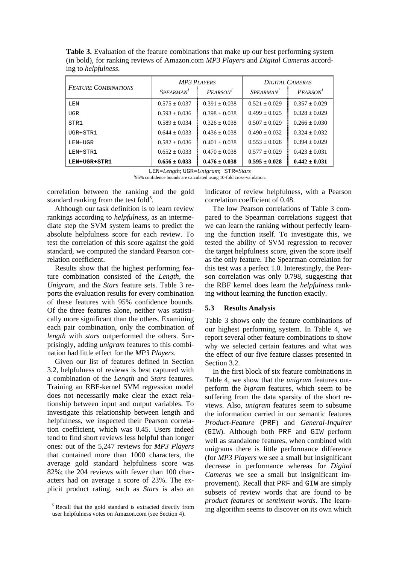**Table 3.** Evaluation of the feature combinations that make up our best performing system (in bold), for ranking reviews of Amazon.com *MP3 Players* and *Digital Cameras* according to *helpfulness*.

| <b>FEATURE COMBINATIONS</b> | <b>MP3 PLAYERS</b> |                                   | <b>DIGITAL CAMERAS</b> |                      |
|-----------------------------|--------------------|-----------------------------------|------------------------|----------------------|
|                             | $SPERMAN^T$        | P <sub>E</sub> ARSON <sup>T</sup> | $SPERMAN^T$            | PEARSON <sup>†</sup> |
| LEN                         | $0.575 + 0.037$    | $0.391 + 0.038$                   | $0.521 + 0.029$        | $0.357 + 0.029$      |
| <b>UGR</b>                  | $0.593 + 0.036$    | $0.398 + 0.038$                   | $0.499 + 0.025$        | $0.328 + 0.029$      |
| STR1                        | $0.589 + 0.034$    | $0.326 + 0.038$                   | $0.507 + 0.029$        | $0.266 + 0.030$      |
| $\text{UGR} + \text{STR}$ 1 | $0.644 + 0.033$    | $0.436 + 0.038$                   | $0.490 + 0.032$        | $0.324 + 0.032$      |
| LEN+UGR                     | $0.582 + 0.036$    | $0.401 + 0.038$                   | $0.553 + 0.028$        | $0.394 + 0.029$      |
| LEN+STR1                    | $0.652 + 0.033$    | $0.470 + 0.038$                   | $0.577 \pm 0.029$      | $0.423 + 0.031$      |
| LEN+UGR+STR1                | $0.656 \pm 0.033$  | $0.476 \pm 0.038$                 | $0.595 \pm 0.028$      | $0.442 \pm 0.031$    |

LEN=*Length*; UGR=*Unigram*; STR=*Stars †*

95% confidence bounds are calculated using 10-fold cross-validation.

correlation between the ranking and the gold standard ranking from the test fold<sup>5</sup>.

Although our task definition is to learn review rankings according to *helpfulness*, as an intermediate step the SVM system learns to predict the absolute helpfulness score for each review. To test the correlation of this score against the gold standard, we computed the standard Pearson correlation coefficient.

Results show that the highest performing feature combination consisted of the *Length*, the *Unigram*, and the *Stars* feature sets. Table 3 reports the evaluation results for every combination of these features with 95% confidence bounds. Of the three features alone, neither was statistically more significant than the others. Examining each pair combination, only the combination of *length* with *stars* outperformed the others. Surprisingly, adding *unigram* features to this combination had little effect for the *MP3 Players*.

Given our list of features defined in Section 3.2, helpfulness of reviews is best captured with a combination of the *Length* and *Stars* features. Training an RBF-kernel SVM regression model does not necessarily make clear the exact relationship between input and output variables. To investigate this relationship between length and helpfulness, we inspected their Pearson correlation coefficient, which was 0.45. Users indeed tend to find short reviews less helpful than longer ones: out of the 5,247 reviews for *MP3 Players* that contained more than 1000 characters, the average gold standard helpfulness score was 82%; the 204 reviews with fewer than 100 characters had on average a score of 23%. The explicit product rating, such as *Stars* is also an indicator of review helpfulness, with a Pearson correlation coefficient of 0.48.

The low Pearson correlations of Table 3 compared to the Spearman correlations suggest that we can learn the ranking without perfectly learning the function itself. To investigate this, we tested the ability of SVM regression to recover the target helpfulness score, given the score itself as the only feature. The Spearman correlation for this test was a perfect 1.0. Interestingly, the Pearson correlation was only 0.798, suggesting that the RBF kernel does learn the *helpfulness* ranking without learning the function exactly.

### **5.3 Results Analysis**

Table 3 shows only the feature combinations of our highest performing system. In Table 4, we report several other feature combinations to show why we selected certain features and what was the effect of our five feature classes presented in Section 3.2.

In the first block of six feature combinations in Table 4, we show that the *unigram* features outperform the *bigram* features, which seem to be suffering from the data sparsity of the short reviews. Also, *unigram* features seem to subsume the information carried in our semantic features *Product-Feature* (PRF) and *General-Inquirer* (GIW). Although both PRF and GIW perform well as standalone features, when combined with unigrams there is little performance difference (for *MP3 Players* we see a small but insignificant decrease in performance whereas for *Digital Cameras* we see a small but insignificant improvement). Recall that PRF and GIW are simply subsets of review words that are found to be *product features* or *sentiment words*. The learning algorithm seems to discover on its own which

<sup>&</sup>lt;sup>5</sup> Recall that the gold standard is extracted directly from user helpfulness votes on Amazon.com (see Section 4).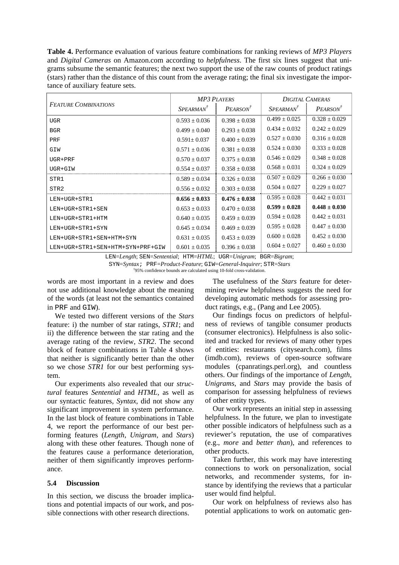**Table 4.** Performance evaluation of various feature combinations for ranking reviews of *MP3 Players* and *Digital Cameras* on Amazon.com according to *helpfulness*. The first six lines suggest that unigrams subsume the semantic features; the next two support the use of the raw counts of product ratings (stars) rather than the distance of this count from the average rating; the final six investigate the importance of auxiliary feature sets.

| <b>FEATURE COMBINATIONS</b>      | <b>MP3 PLAYERS</b> |                           | <b>DIGITAL CAMERAS</b> |                                   |
|----------------------------------|--------------------|---------------------------|------------------------|-----------------------------------|
|                                  | $SPERMAN^T$        | $P_{FARSON}$ <sup>T</sup> | $SPERMAN^T$            | P <sub>E</sub> ARSON <sup>T</sup> |
| <b>UGR</b>                       | $0.593 \pm 0.036$  | $0.398 \pm 0.038$         | $0.499 \pm 0.025$      | $0.328 \pm 0.029$                 |
| <b>BGR</b>                       | $0.499 \pm 0.040$  | $0.293 + 0.038$           | $0.434 \pm 0.032$      | $0.242 \pm 0.029$                 |
| PRF                              | $0.591 + 0.037$    | $0.400 + 0.039$           | $0.527 \pm 0.030$      | $0.316 \pm 0.028$                 |
| GIW                              | $0.571 \pm 0.036$  | $0.381 + 0.038$           | $0.524 \pm 0.030$      | $0.333 \pm 0.028$                 |
| $UGR+PRF$                        | $0.570 + 0.037$    | $0.375 + 0.038$           | $0.546 \pm 0.029$      | $0.348 \pm 0.028$                 |
| UGR+GIW                          | $0.554 \pm 0.037$  | $0.358 + 0.038$           | $0.568 + 0.031$        | $0.324 \pm 0.029$                 |
| STR1                             | $0.589 + 0.034$    | $0.326 + 0.038$           | $0.507 \pm 0.029$      | $0.266 + 0.030$                   |
| STR <sub>2</sub>                 | $0.556 + 0.032$    | $0.303 + 0.038$           | $0.504 + 0.027$        | $0.229 + 0.027$                   |
| LEN+UGR+STR1                     | $0.656 \pm 0.033$  | $0.476 \pm 0.038$         | $0.595 + 0.028$        | $0.442 + 0.031$                   |
| LEN+UGR+STR1+SEN                 | $0.653 \pm 0.033$  | $0.470 + 0.038$           | $0.599 \pm 0.028$      | $0.448 \pm 0.030$                 |
| LEN+UGR+STR1+HTM                 | $0.640 + 0.035$    | $0.459 + 0.039$           | $0.594 \pm 0.028$      | $0.442 \pm 0.031$                 |
| LEN+UGR+STR1+SYN                 | $0.645 + 0.034$    | $0.469 + 0.039$           | $0.595 + 0.028$        | $0.447 + 0.030$                   |
| LEN+UGR+STR1+SEN+HTM+SYN         | $0.631 \pm 0.035$  | $0.453 \pm 0.039$         | $0.600 + 0.028$        | $0.452 + 0.030$                   |
| LEN+UGR+STR1+SEN+HTM+SYN+PRF+GIW | $0.601 \pm 0.035$  | $0.396 \pm 0.038$         | $0.604 \pm 0.027$      | $0.460 \pm 0.030$                 |

LEN=*Length*; SEN=*Sentential*; HTM=*HTML*; UGR=*Unigram*; BGR=*Bigram*;

SYN=*Syntax*; PRF=*Product-Feature*; GIW=*General-Inquirer*; STR=*Stars †*  $\frac{1}{2}$ 95% confidence bounds are calculated using 10-fold cross-validation.

words are most important in a review and does not use additional knowledge about the meaning of the words (at least not the semantics contained in PRF and GIW).

We tested two different versions of the *Stars* feature: i) the number of star ratings, *STR1*; and ii) the difference between the star rating and the average rating of the review, *STR2*. The second block of feature combinations in Table 4 shows that neither is significantly better than the other so we chose *STR1* for our best performing system.

Our experiments also revealed that our *structural* features *Sentential* and *HTML,* as well as our syntactic features, *Syntax*, did not show any significant improvement in system performance. In the last block of feature combinations in Table 4, we report the performance of our best performing features (*Length*, *Unigram*, and *Stars*) along with these other features. Though none of the features cause a performance deterioration, neither of them significantly improves performance.

### **5.4 Discussion**

In this section, we discuss the broader implications and potential impacts of our work, and possible connections with other research directions.

The usefulness of the *Stars* feature for determining review helpfulness suggests the need for developing automatic methods for assessing product ratings, e.g., (Pang and Lee 2005).

Our findings focus on predictors of helpfulness of reviews of tangible consumer products (consumer electronics). Helpfulness is also solicited and tracked for reviews of many other types of entities: restaurants (citysearch.com), films (imdb.com), reviews of open-source software modules (cpanratings.perl.org), and countless others. Our findings of the importance of *Length*, *Unigrams*, and *Stars* may provide the basis of comparison for assessing helpfulness of reviews of other entity types.

Our work represents an initial step in assessing helpfulness. In the future, we plan to investigate other possible indicators of helpfulness such as a reviewer's reputation, the use of comparatives (e.g., *more* and *better than*), and references to other products.

Taken further, this work may have interesting connections to work on personalization, social networks, and recommender systems, for instance by identifying the reviews that a particular user would find helpful.

Our work on helpfulness of reviews also has potential applications to work on automatic gen-